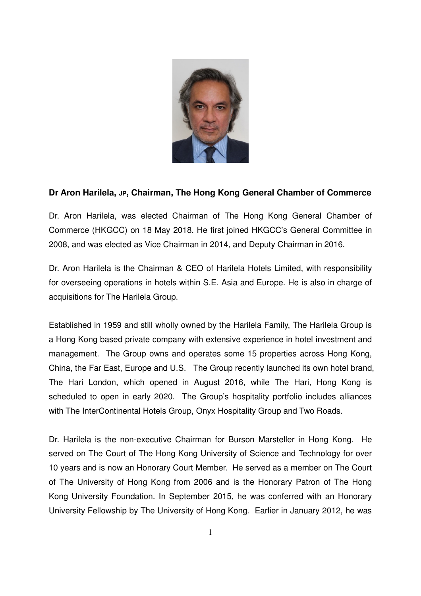

## **Dr Aron Harilela, JP, Chairman, The Hong Kong General Chamber of Commerce**

Dr. Aron Harilela, was elected Chairman of The Hong Kong General Chamber of Commerce (HKGCC) on 18 May 2018. He first joined HKGCC's General Committee in 2008, and was elected as Vice Chairman in 2014, and Deputy Chairman in 2016.

Dr. Aron Harilela is the Chairman & CEO of Harilela Hotels Limited, with responsibility for overseeing operations in hotels within S.E. Asia and Europe. He is also in charge of acquisitions for The Harilela Group.

Established in 1959 and still wholly owned by the Harilela Family, The Harilela Group is a Hong Kong based private company with extensive experience in hotel investment and management. The Group owns and operates some 15 properties across Hong Kong, China, the Far East, Europe and U.S. The Group recently launched its own hotel brand, The Hari London, which opened in August 2016, while The Hari, Hong Kong is scheduled to open in early 2020. The Group's hospitality portfolio includes alliances with The InterContinental Hotels Group, Onyx Hospitality Group and Two Roads.

Dr. Harilela is the non-executive Chairman for Burson Marsteller in Hong Kong. He served on The Court of The Hong Kong University of Science and Technology for over 10 years and is now an Honorary Court Member. He served as a member on The Court of The University of Hong Kong from 2006 and is the Honorary Patron of The Hong Kong University Foundation. In September 2015, he was conferred with an Honorary University Fellowship by The University of Hong Kong. Earlier in January 2012, he was